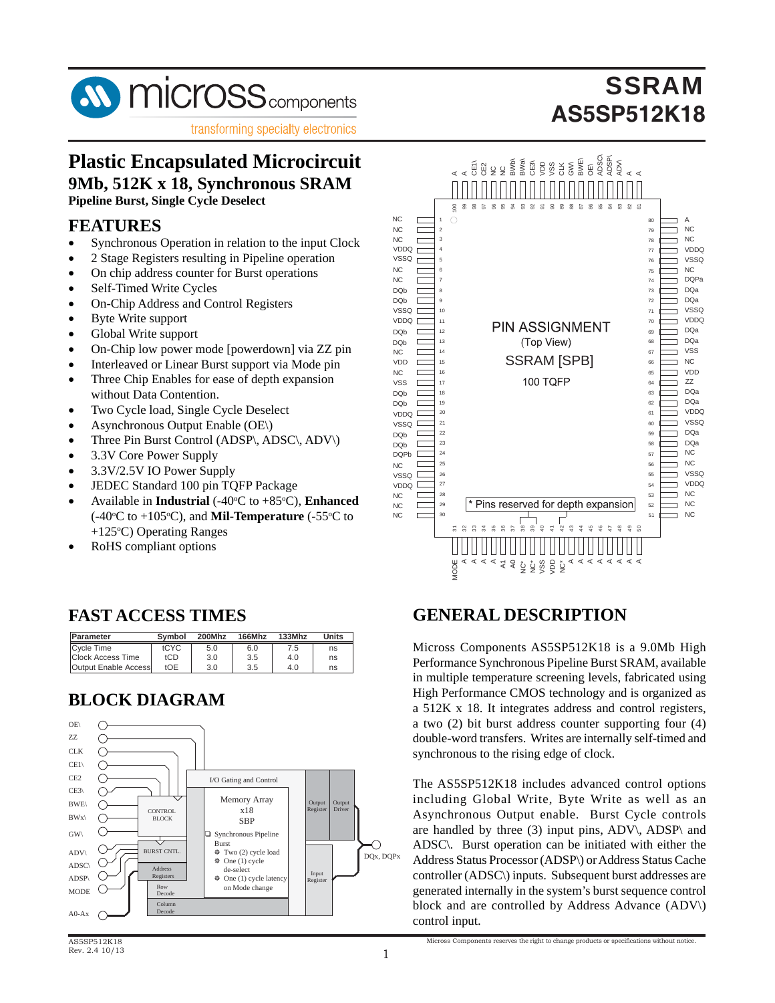

## **Plastic Encapsulated Microcircuit 9Mb, 512K x 18, Synchronous SRAM**

**Pipeline Burst, Single Cycle Deselect**

#### **FEATURES**

- Synchronous Operation in relation to the input Clock
- 2 Stage Registers resulting in Pipeline operation
- On chip address counter for Burst operations
- Self-Timed Write Cycles
- On-Chip Address and Control Registers
- Byte Write support
- Global Write support
- On-Chip low power mode [powerdown] via ZZ pin
- Interleaved or Linear Burst support via Mode pin
- Three Chip Enables for ease of depth expansion without Data Contention.
- Two Cycle load, Single Cycle Deselect
- Asynchronous Output Enable (OE\)
- Three Pin Burst Control (ADSP\, ADSC\, ADV\)
- 3.3V Core Power Supply
- 3.3V/2.5V IO Power Supply
- JEDEC Standard 100 pin TQFP Package
- Available in **Industrial**  $(-40^{\circ}\text{C})$  to  $+85^{\circ}\text{C}$ ), **Enhanced**  $(-40^{\circ}C \text{ to } +105^{\circ}C)$ , and **Mil-Temperature**  $(-55^{\circ}C \text{ to } +105^{\circ}C)$ +125°C) Operating Ranges
- RoHS compliant options

#### **FAST ACCESS TIMES**

| <b>Parameter</b>     | Symbol | 200Mhz | 166Mhz | $133M$ hz | Units |
|----------------------|--------|--------|--------|-----------|-------|
| <b>Cycle Time</b>    | tCYC   | 5.0    | 6.0    | 7.5       | ns    |
| Clock Access Time    | tCD    | 3.0    | 3.5    | 4.0       | ns    |
| Output Enable Access | tOE    | 3.0    | 3.5    | 4.0       | ns    |

#### **BLOCK DIAGRAM**



AS5SP512K18 Rev. 2.4 10/13



#### **GENERAL DESCRIPTION**

Micross Components AS5SP512K18 is a 9.0Mb High Performance Synchronous Pipeline Burst SRAM, available in multiple temperature screening levels, fabricated using High Performance CMOS technology and is organized as a 512K x 18. It integrates address and control registers, a two (2) bit burst address counter supporting four (4) double-word transfers. Writes are internally self-timed and synchronous to the rising edge of clock.

The AS5SP512K18 includes advanced control options including Global Write, Byte Write as well as an Asynchronous Output enable. Burst Cycle controls are handled by three (3) input pins, ADV\, ADSP\ and ADSC\. Burst operation can be initiated with either the Address Status Processor (ADSP\) or Address Status Cache controller (ADSC\) inputs. Subsequent burst addresses are generated internally in the system's burst sequence control block and are controlled by Address Advance (ADV\) control input.

Micross Components reserves the right to change products or specifications without notice.

## **SSRAM AS5SP512K18**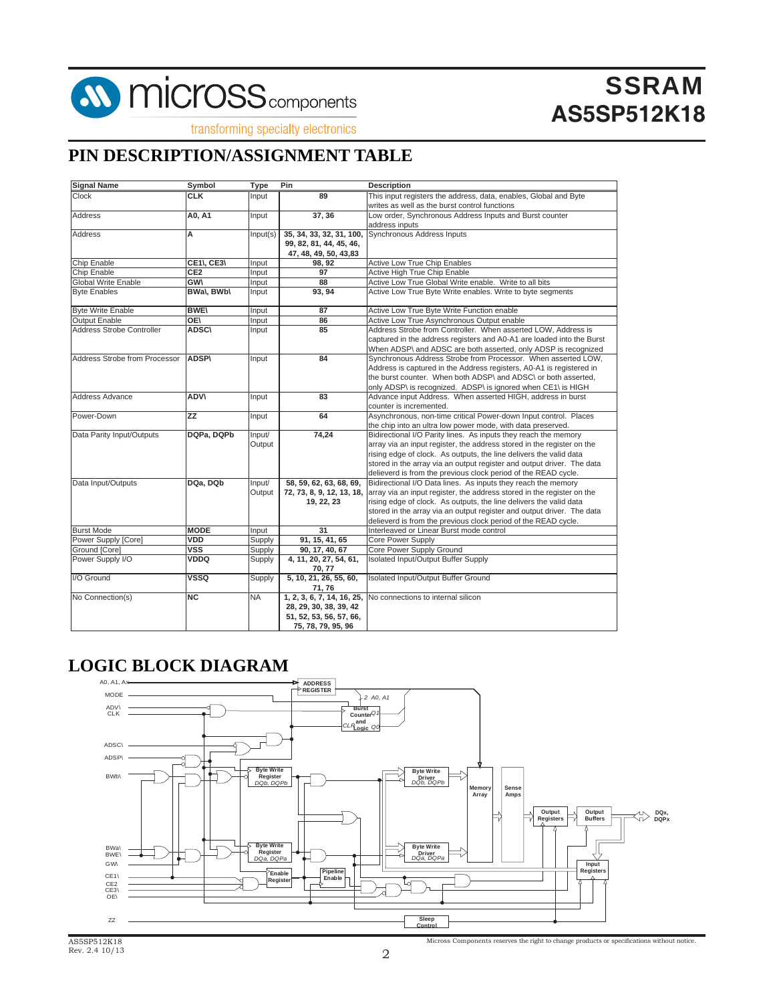

transforming specialty electronics

#### **PIN DESCRIPTION/ASSIGNMENT TABLE**

| <b>Signal Name</b>            | Symbol            | <b>Type</b>  | <b>Pin</b>                       | <b>Description</b>                                                     |
|-------------------------------|-------------------|--------------|----------------------------------|------------------------------------------------------------------------|
| <b>Clock</b>                  | <b>CLK</b>        | Input        | 89                               | This input registers the address, data, enables, Global and Byte       |
|                               |                   |              |                                  | writes as well as the burst control functions                          |
| Address                       | A0, A1            | Input        | 37, 36                           | Low order, Synchronous Address Inputs and Burst counter                |
|                               |                   |              |                                  | address inputs                                                         |
| Address                       | A                 | Input(s)     | 35, 34, 33, 32, 31, 100,         | <b>Synchronous Address Inputs</b>                                      |
|                               |                   |              | 99, 82, 81, 44, 45, 46,          |                                                                        |
|                               |                   |              | 47, 48, 49, 50, 43,83            |                                                                        |
| Chip Enable                   | <b>CE1\, CE3\</b> | Input        | 98, 92                           | Active Low True Chip Enables                                           |
| Chip Enable                   | CE <sub>2</sub>   | Input        | 97                               | Active High True Chip Enable                                           |
| <b>Global Write Enable</b>    | <b>GWV</b>        | Input        | 88                               | Active Low True Global Write enable. Write to all bits                 |
| <b>Byte Enables</b>           | <b>BWal, BWbl</b> | <b>Input</b> | 93.94                            | Active Low True Byte Write enables. Write to byte segments             |
| <b>Byte Write Enable</b>      | <b>BWE\</b>       | Input        | 87                               | Active Low True Byte Write Function enable                             |
| <b>Output Enable</b>          | <b>OE</b>         | Input        | 86                               | Active Low True Asynchronous Output enable                             |
| Address Strobe Controller     | <b>ADSC\</b>      | Input        | 85                               | Address Strobe from Controller. When asserted LOW, Address is          |
|                               |                   |              |                                  | captured in the address registers and A0-A1 are loaded into the Burst  |
|                               |                   |              |                                  | When ADSP\ and ADSC are both asserted, only ADSP is recognized         |
| Address Strobe from Processor | <b>ADSP\</b>      | Input        | 84                               | Synchronous Address Strobe from Processor. When asserted LOW,          |
|                               |                   |              |                                  | Address is captured in the Address registers, A0-A1 is registered in   |
|                               |                   |              |                                  | the burst counter. When both ADSP\ and ADSC\ or both asserted,         |
|                               |                   |              |                                  | only ADSP\ is recognized. ADSP\ is ignored when CE1\ is HIGH           |
| <b>Address Advance</b>        | <b>ADVV</b>       | Input        | 83                               | Advance input Address. When asserted HIGH, address in burst            |
|                               |                   |              |                                  | counter is incremented.                                                |
| Power-Down                    | <b>ZZ</b>         | Input        | 64                               | Asynchronous, non-time critical Power-down Input control. Places       |
|                               |                   |              |                                  | the chip into an ultra low power mode, with data preserved.            |
| Data Parity Input/Outputs     | DQPa, DQPb        | Input/       | 74,24                            | Bidirectional I/O Parity lines. As inputs they reach the memory        |
|                               |                   | Output       |                                  | array via an input register, the address stored in the register on the |
|                               |                   |              |                                  | rising edge of clock. As outputs, the line delivers the valid data     |
|                               |                   |              |                                  | stored in the array via an output register and output driver. The data |
|                               |                   |              |                                  | delieverd is from the previous clock period of the READ cycle.         |
| Data Input/Outputs            | DQa, DQb          | Input/       | 58, 59, 62, 63, 68, 69,          | Bidirectional I/O Data lines. As inputs they reach the memory          |
|                               |                   | Output       | 72, 73, 8, 9, 12, 13, 18,        | array via an input register, the address stored in the register on the |
|                               |                   |              | 19, 22, 23                       | rising edge of clock. As outputs, the line delivers the valid data     |
|                               |                   |              |                                  | stored in the array via an output register and output driver. The data |
|                               |                   |              |                                  | delieverd is from the previous clock period of the READ cycle.         |
| <b>Burst Mode</b>             | <b>MODE</b>       | Input        | 31                               | Interleaved or Linear Burst mode control                               |
| Power Supply [Core]           | VDD               | Supply       | 91, 15, 41, 65                   | <b>Core Power Supply</b>                                               |
| Ground [Core]                 | <b>VSS</b>        | Supply       | 90, 17, 40, 67                   | Core Power Supply Ground                                               |
| Power Supply I/O              | VDDQ              | Supply       | 4, 11, 20, 27, 54, 61,<br>70, 77 | Isolated Input/Output Buffer Supply                                    |
| I/O Ground                    | <b>VSSQ</b>       | Supply       | 5, 10, 21, 26, 55, 60,           | Isolated Input/Output Buffer Ground                                    |
|                               |                   |              | 71,76                            |                                                                        |
| No Connection(s)              | NC                | <b>NA</b>    | 1, 2, 3, 6, 7, 14, 16, 25,       | No connections to internal silicon                                     |
|                               |                   |              | 28, 29, 30, 38, 39, 42           |                                                                        |
|                               |                   |              | 51, 52, 53, 56, 57, 66,          |                                                                        |
|                               |                   |              | 75, 78, 79, 95, 96               |                                                                        |

#### **LOGIC BLOCK DIAGRAM**

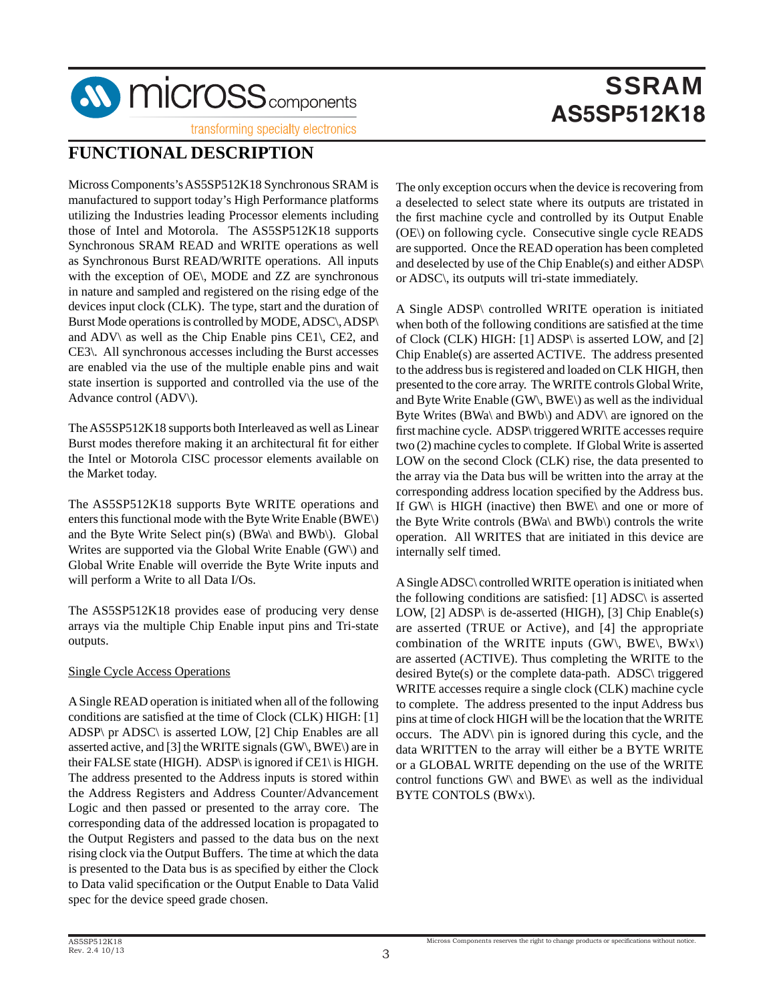

transforming specialty electronics

#### **FUNCTIONAL DESCRIPTION**

Micross Components's AS5SP512K18 Synchronous SRAM is manufactured to support today's High Performance platforms utilizing the Industries leading Processor elements including those of Intel and Motorola. The AS5SP512K18 supports Synchronous SRAM READ and WRITE operations as well as Synchronous Burst READ/WRITE operations. All inputs with the exception of OE\, MODE and ZZ are synchronous in nature and sampled and registered on the rising edge of the devices input clock (CLK). The type, start and the duration of Burst Mode operations is controlled by MODE, ADSC\, ADSP\ and ADV\ as well as the Chip Enable pins CE1\, CE2, and CE3\. All synchronous accesses including the Burst accesses are enabled via the use of the multiple enable pins and wait state insertion is supported and controlled via the use of the Advance control (ADV\).

The AS5SP512K18 supports both Interleaved as well as Linear Burst modes therefore making it an architectural fit for either the Intel or Motorola CISC processor elements available on the Market today.

The AS5SP512K18 supports Byte WRITE operations and enters this functional mode with the Byte Write Enable (BWE\) and the Byte Write Select pin(s) (BWa\ and BWb\). Global Writes are supported via the Global Write Enable (GW\) and Global Write Enable will override the Byte Write inputs and will perform a Write to all Data I/Os.

The AS5SP512K18 provides ease of producing very dense arrays via the multiple Chip Enable input pins and Tri-state outputs.

#### Single Cycle Access Operations

A Single READ operation is initiated when all of the following conditions are satisfied at the time of Clock (CLK) HIGH: [1] ADSP\ pr ADSC\ is asserted LOW, [2] Chip Enables are all asserted active, and [3] the WRITE signals (GW\, BWE\) are in their FALSE state (HIGH). ADSP\ is ignored if CE1\ is HIGH. The address presented to the Address inputs is stored within the Address Registers and Address Counter/Advancement Logic and then passed or presented to the array core. The corresponding data of the addressed location is propagated to the Output Registers and passed to the data bus on the next rising clock via the Output Buffers. The time at which the data is presented to the Data bus is as specified by either the Clock to Data valid specification or the Output Enable to Data Valid spec for the device speed grade chosen.

The only exception occurs when the device is recovering from a deselected to select state where its outputs are tristated in the first machine cycle and controlled by its Output Enable (OE\) on following cycle. Consecutive single cycle READS are supported. Once the READ operation has been completed and deselected by use of the Chip Enable(s) and either ADSP\ or ADSC\, its outputs will tri-state immediately.

A Single ADSP\ controlled WRITE operation is initiated when both of the following conditions are satisfied at the time of Clock (CLK) HIGH: [1] ADSP\ is asserted LOW, and [2] Chip Enable(s) are asserted ACTIVE. The address presented to the address bus is registered and loaded on CLK HIGH, then presented to the core array. The WRITE controls Global Write, and Byte Write Enable (GW\, BWE\) as well as the individual Byte Writes (BWa\ and BWb\) and ADV\ are ignored on the first machine cycle. ADSP\ triggered WRITE accesses require two (2) machine cycles to complete. If Global Write is asserted LOW on the second Clock (CLK) rise, the data presented to the array via the Data bus will be written into the array at the corresponding address location specified by the Address bus. If GW\ is HIGH (inactive) then BWE\ and one or more of the Byte Write controls (BWa\ and BWb\) controls the write operation. All WRITES that are initiated in this device are internally self timed.

A Single ADSC\ controlled WRITE operation is initiated when the following conditions are satisfied: [1] ADSC\ is asserted LOW, [2] ADSP\ is de-asserted (HIGH), [3] Chip Enable(s) are asserted (TRUE or Active), and [4] the appropriate combination of the WRITE inputs (GW\, BWE\, BWx\) are asserted (ACTIVE). Thus completing the WRITE to the desired Byte(s) or the complete data-path. ADSC\ triggered WRITE accesses require a single clock (CLK) machine cycle to complete. The address presented to the input Address bus pins at time of clock HIGH will be the location that the WRITE occurs. The ADV\ pin is ignored during this cycle, and the data WRITTEN to the array will either be a BYTE WRITE or a GLOBAL WRITE depending on the use of the WRITE control functions GW\ and BWE\ as well as the individual BYTE CONTOLS (BWx\).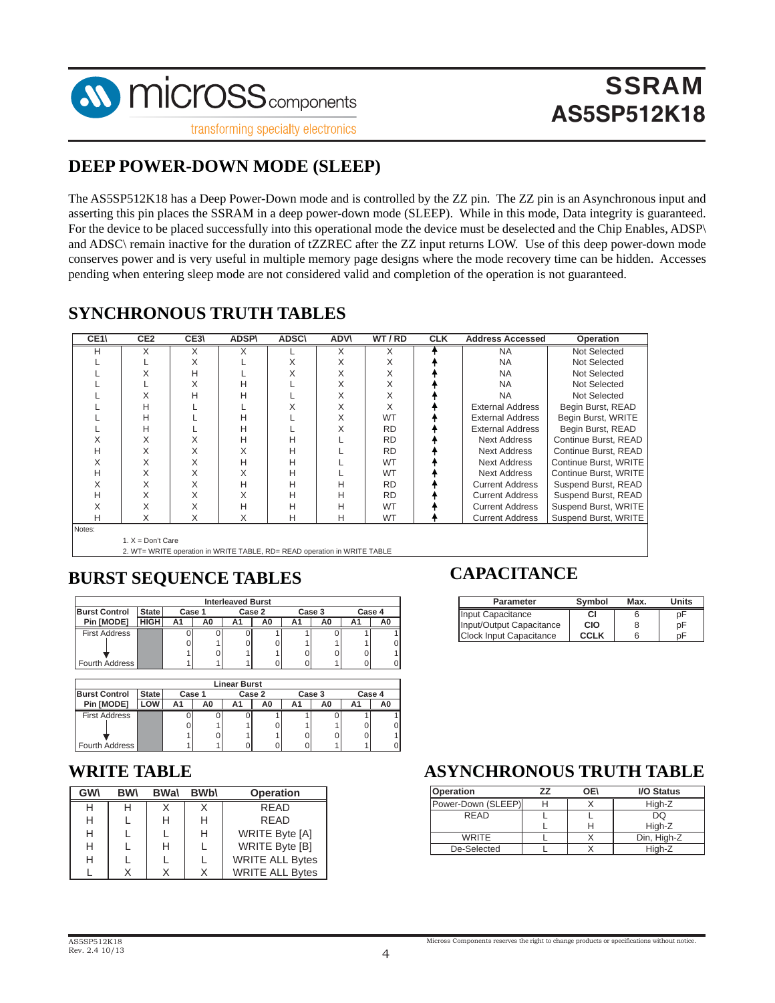

#### **DEEP POWER-DOWN MODE (SLEEP)**

The AS5SP512K18 has a Deep Power-Down mode and is controlled by the ZZ pin. The ZZ pin is an Asynchronous input and asserting this pin places the SSRAM in a deep power-down mode (SLEEP). While in this mode, Data integrity is guaranteed. For the device to be placed successfully into this operational mode the device must be deselected and the Chip Enables, ADSP\ and ADSC\ remain inactive for the duration of tZZREC after the ZZ input returns LOW. Use of this deep power-down mode conserves power and is very useful in multiple memory page designs where the mode recovery time can be hidden. Accesses pending when entering sleep mode are not considered valid and completion of the operation is not guaranteed.

#### **SYNCHRONOUS TRUTH TABLES**

| CE <sub>1</sub> | CE <sub>2</sub> | CE3\ | <b>ADSP\</b> | <b>ADSC\</b> | <b>ADV\</b> | WT/RD     | <b>CLK</b> | <b>Address Accessed</b> | <b>Operation</b>      |
|-----------------|-----------------|------|--------------|--------------|-------------|-----------|------------|-------------------------|-----------------------|
| н               | X               | X    | Χ            |              | X           | X         |            | <b>NA</b>               | Not Selected          |
|                 |                 | X    |              | X            | Χ           | X         |            | <b>NA</b>               | Not Selected          |
|                 |                 | н    |              | X            | Χ           | X         |            | <b>NA</b>               | Not Selected          |
|                 |                 | X    | н            |              | Χ           | X         |            | <b>NA</b>               | Not Selected          |
|                 |                 | н    | Н            |              | Χ           | X         |            | <b>NA</b>               | Not Selected          |
|                 | н               |      |              |              |             | X         |            | <b>External Address</b> | Begin Burst, READ     |
|                 | н               |      | н            |              |             | <b>WT</b> |            | External Address        | Begin Burst, WRITE    |
|                 | н               |      | н            |              |             | <b>RD</b> |            | <b>External Address</b> | Begin Burst, READ     |
|                 |                 |      | н            | н            |             | <b>RD</b> |            | <b>Next Address</b>     | Continue Burst, READ  |
| н               |                 | X    | Χ            | н            |             | <b>RD</b> |            | <b>Next Address</b>     | Continue Burst, READ  |
|                 |                 | X    | н            | н            |             | <b>WT</b> |            | <b>Next Address</b>     | Continue Burst, WRITE |
| н               |                 | X    | X            | н            |             | <b>WT</b> |            | <b>Next Address</b>     | Continue Burst, WRITE |
|                 |                 | X    | н            | н            | н           | <b>RD</b> |            | <b>Current Address</b>  | Suspend Burst, READ   |
| н               | X               | X    | X            | н            | н           | <b>RD</b> |            | <b>Current Address</b>  | Suspend Burst, READ   |
|                 | Χ               | X    | Н            | н            | н           | <b>WT</b> |            | <b>Current Address</b>  | Suspend Burst, WRITE  |
| н               | X               | X    | X            | н            | н           | <b>WT</b> |            | <b>Current Address</b>  | Suspend Burst, WRITE  |
| Notes:          |                 |      |              |              |             |           |            |                         |                       |

1.  $X = Don't Care$ 

2. WT= WRITE operation in WRITE TABLE, RD= READ operation in WRITE TABLE

#### **BURST SEQUENCE TABLES**

|                      |              |        |    | <b>Interleaved Burst</b> |    |        |    |        |    |
|----------------------|--------------|--------|----|--------------------------|----|--------|----|--------|----|
| <b>Burst Control</b> | <b>State</b> | Case 1 |    | Case 2                   |    | Case 3 |    | Case 4 |    |
| Pin [MODE]           | HIGH         | Α1     | A0 |                          | A0 | Α1     | A0 | A1     | A0 |
| <b>First Address</b> |              |        |    |                          |    |        |    |        |    |
|                      |              |        |    |                          |    |        |    |        |    |
|                      |              |        |    |                          |    |        |    |        |    |
| Fourth Address       |              |        |    |                          |    |        |    |        |    |

|                      |              |        |    | <b>Linear Burst</b> |    |        |    |    |        |
|----------------------|--------------|--------|----|---------------------|----|--------|----|----|--------|
| <b>Burst Control</b> | <b>State</b> | Case 1 |    | Case 2              |    | Case 3 |    |    | Case 4 |
| Pin [MODE]           | .ow          | Α1     | A0 |                     | A0 | A1     | A0 | Α1 |        |
| <b>First Address</b> |              |        |    |                     |    |        |    |    |        |
|                      |              |        |    |                     |    |        |    |    |        |
|                      |              |        |    |                     |    |        |    |    |        |
| Fourth Address       |              |        |    |                     |    |        |    |    |        |

#### **WRITE TABLE**

| <b>GWV</b> | <b>RW</b> | <b>BWal</b> | <b>BW<sub>b</sub></b> | <b>Operation</b>       |
|------------|-----------|-------------|-----------------------|------------------------|
| н          |           |             |                       | <b>RFAD</b>            |
| н          |           | н           | н                     | RFAD                   |
| н          |           |             | н                     | <b>WRITE Byte [A]</b>  |
| н          |           | н           |                       | WRITE Byte [B]         |
| н          |           |             |                       | <b>WRITE ALL Bytes</b> |
|            |           |             |                       | <b>WRITE ALL Bytes</b> |

#### **CAPACITANCE**

| <b>Parameter</b>               | Symbol      | Max. | <b>Units</b> |
|--------------------------------|-------------|------|--------------|
| Input Capacitance              | СI          |      | рF           |
| Input/Output Capacitance       | <b>CIO</b>  | 8    | рF           |
| <b>Clock Input Capacitance</b> | <b>CCLK</b> |      |              |

#### **ASYNCHRONOUS TRUTH TABLE**

| <b>Operation</b>   | 77 | 0E) | <b>I/O Status</b> |
|--------------------|----|-----|-------------------|
| Power-Down (SLEEP) |    |     | High-Z            |
| RFAD               |    |     | DQ                |
|                    |    |     | High-Z            |
| <b>WRITE</b>       |    |     | Din, High-Z       |
| De-Selected        |    |     | High-Z            |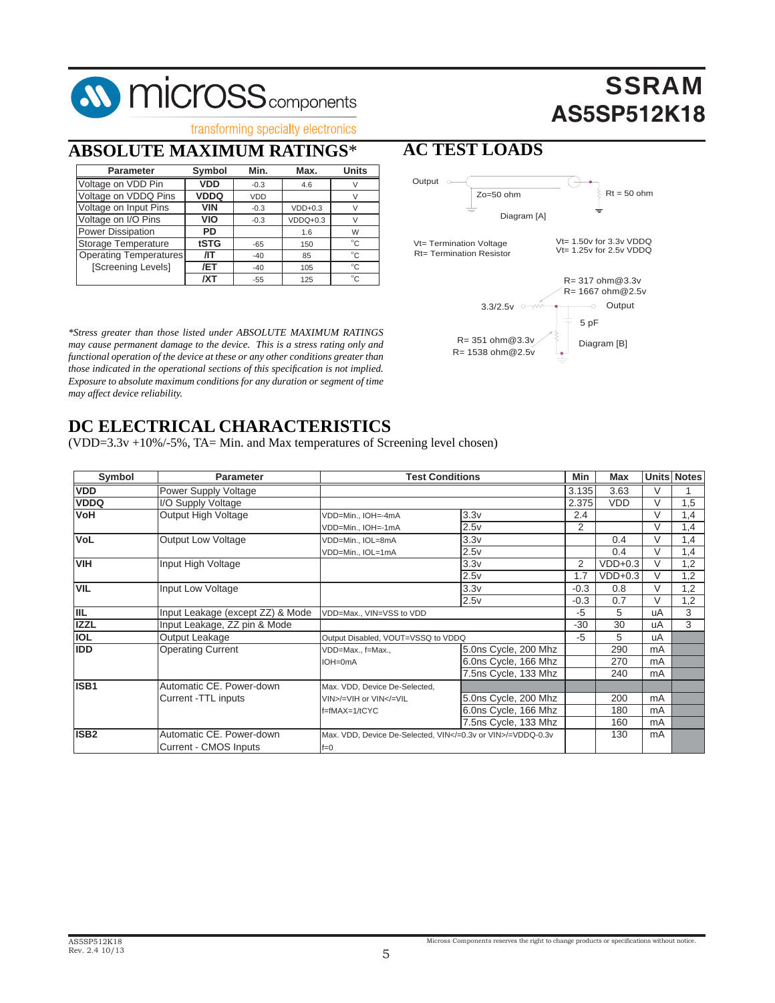# **SV MICrOSS** components

# **SSRAM AS5SP512K18**

Diagram [B]

5 pF

### transforming specialty electronics

## **ABSOLUTE MAXIMUM RATINGS**\*

| <b>Parameter</b>              | Symbol      | Min.   | Max.       | Units        |
|-------------------------------|-------------|--------|------------|--------------|
| Voltage on VDD Pin            | <b>VDD</b>  | $-0.3$ | 4.6        |              |
| Voltage on VDDQ Pins          | <b>VDDQ</b> | VDD    |            |              |
| Voltage on Input Pins         | <b>VIN</b>  | $-0.3$ | $VDD+0.3$  |              |
| Voltage on I/O Pins           | VIO         | $-0.3$ | $VDDQ+0.3$ |              |
| <b>Power Dissipation</b>      | PD          |        | 1.6        | W            |
| Storage Temperature           | tSTG        | $-65$  | 150        | $^{\circ}$ C |
| <b>Operating Temperatures</b> | /IT         | $-40$  | 85         | $^{\circ}C$  |
| [Screening Levels]            | /ET         | $-40$  | 105        | $^{\circ}$ C |
|                               | /XT         | $-55$  | 125        | $^{\circ}$ C |

*\*Stress greater than those listed under ABSOLUTE MAXIMUM RATINGS may cause permanent damage to the device. This is a stress rating only and functional operation of the device at these or any other conditions greater than those indicated in the operational sections of this specifi cation is not implied. Exposure to absolute maximum conditions for any duration or segment of time may affect device reliability.*

#### **AC TEST LOADS**  $3.3/2.5v$   $\sim$   $\sqrt{2.5}v$   $\sim$   $\sqrt{2.5}v$   $\sim$   $\sqrt{2.5}v$ R= 317 ohm@3.3v R= 1667 ohm@2.5v Output o Zo=50 ohm  $Rt = 50$  ohm Vt= Termination Voltage Rt= Termination Resistor Vt= 1.50v for 3.3v VDDQ Vt= 1.25v for 2.5v VDDQ Diagram [A]

R= 1538 ohm@2.5v R= 351 ohm@3.3v

#### **DC ELECTRICAL CHARACTERISTICS**

(VDD=3.3v +10%/-5%, TA= Min. and Max temperatures of Screening level chosen)

| Symbol           | <b>Parameter</b>                 | <b>Test Conditions</b>                                                                               |                      | Min    | Max        |           | Units Notes |
|------------------|----------------------------------|------------------------------------------------------------------------------------------------------|----------------------|--------|------------|-----------|-------------|
| <b>VDD</b>       | Power Supply Voltage             |                                                                                                      |                      | 3.135  | 3.63       | V         |             |
| <b>VDDQ</b>      | I/O Supply Voltage               |                                                                                                      |                      | 2.375  | <b>VDD</b> | V         | 1,5         |
| <b>VoH</b>       | <b>Output High Voltage</b>       | VDD=Min., IOH=-4mA                                                                                   | 3.3v                 | 2.4    |            | V         | 1,4         |
|                  |                                  | VDD=Min., IOH=-1mA                                                                                   | 2.5v                 | 2      |            | V         | 1,4         |
| <b>VoL</b>       | <b>Output Low Voltage</b>        | VDD=Min., IOL=8mA                                                                                    | 3.3v                 |        | 0.4        | V         | 1,4         |
|                  |                                  | VDD=Min., IOL=1mA                                                                                    | 2.5v                 |        | 0.4        | V         | 1,4         |
| <b>VIH</b>       | Input High Voltage               |                                                                                                      | 3.3v                 | 2      | $VDD+0.3$  | $\sqrt{}$ | 1,2         |
|                  |                                  |                                                                                                      | 2.5v                 | 1.7    | $VDD+0.3$  | V         | 1,2         |
| <b>VIL</b>       | Input Low Voltage                |                                                                                                      | 3.3v                 | $-0.3$ | 0.8        | V         | 1,2         |
|                  |                                  |                                                                                                      | 2.5v                 | $-0.3$ | 0.7        | $\vee$    | 1,2         |
| ШL               | Input Leakage (except ZZ) & Mode | VDD=Max., VIN=VSS to VDD                                                                             |                      | -5     | 5          | uA        | 3           |
| <b>IZZL</b>      | Input Leakage, ZZ pin & Mode     |                                                                                                      |                      | $-30$  | 30         | uA        | 3           |
| <b>IOL</b>       | Output Leakage                   | Output Disabled, VOUT=VSSQ to VDDQ                                                                   |                      | $-5$   | 5          | uA        |             |
| <b>IDD</b>       | <b>Operating Current</b>         | VDD=Max., f=Max.,                                                                                    | 5.0ns Cycle, 200 Mhz |        | 290        | mA        |             |
|                  |                                  | $IOH=0mA$                                                                                            | 6.0ns Cycle, 166 Mhz |        | 270        | mA        |             |
|                  |                                  |                                                                                                      | 7.5ns Cycle, 133 Mhz |        | 240        | mA        |             |
| ISB1             | Automatic CE, Power-down         | Max. VDD, Device De-Selected,                                                                        |                      |        |            |           |             |
|                  | Current -TTL inputs              | VIN>/=VIH or VIN =VIL</td <td>5.0ns Cycle, 200 Mhz</td> <td></td> <td>200</td> <td>mA</td> <td></td> | 5.0ns Cycle, 200 Mhz |        | 200        | mA        |             |
|                  |                                  | $f=fMAX=1/tCYC$                                                                                      | 6.0ns Cycle, 166 Mhz |        | 180        | mA        |             |
|                  |                                  |                                                                                                      | 7.5ns Cycle, 133 Mhz |        | 160        | mA        |             |
| ISB <sub>2</sub> | Automatic CE, Power-down         | Max, VDD, Device De-Selected, VIN =0.3y or VIN /=VDDQ-0.3y                                           |                      |        | 130        | mA        |             |
|                  | Current - CMOS Inputs            | $f=0$                                                                                                |                      |        |            |           |             |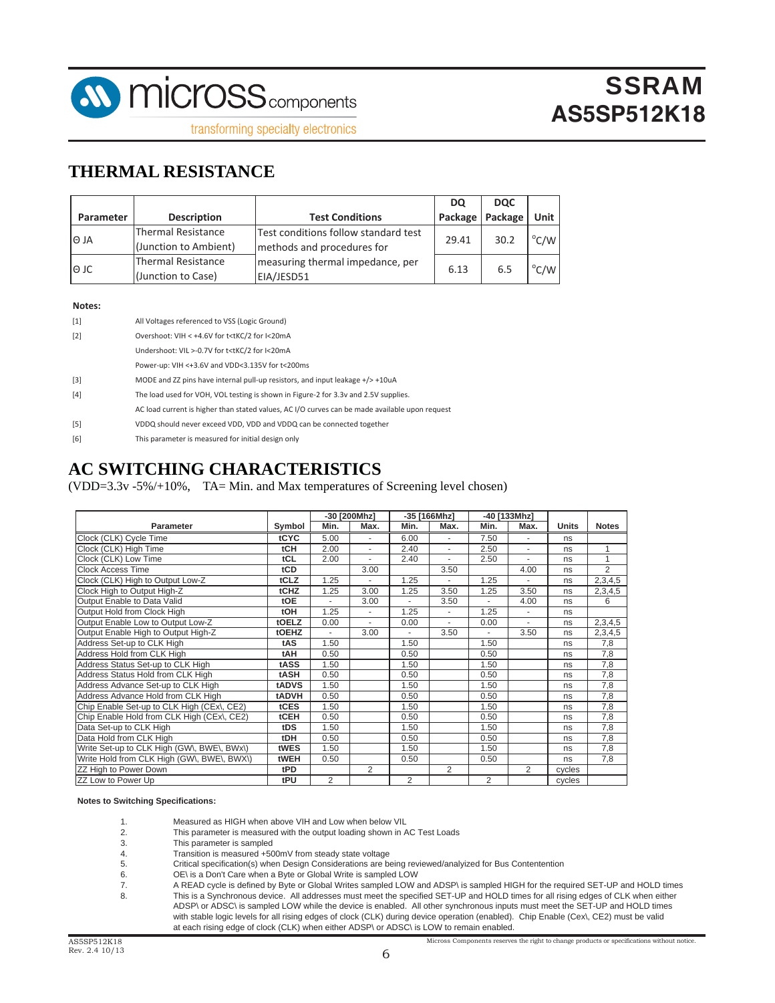

transforming specialty electronics

#### **THERMAL RESISTANCE**

|           |                                             |                                                                    | <b>DQ</b> | <b>DOC</b> |                |
|-----------|---------------------------------------------|--------------------------------------------------------------------|-----------|------------|----------------|
| Parameter | <b>Description</b>                          | <b>Test Conditions</b>                                             | Package   | Package    | Unit           |
| l⊝ JA     | Thermal Resistance<br>(Junction to Ambient) | Test conditions follow standard test<br>methods and procedures for | 29.41     | 30.2       | $^{\circ}$ C/W |
| l⊖ JC     | Thermal Resistance<br>(Junction to Case)    | measuring thermal impedance, per<br>EIA/JESD51                     | 6.13      | 6.5        | $\degree$ C/W  |

#### **Notes:**

| $[1]$ | All Voltages referenced to VSS (Logic Ground)                                                  |
|-------|------------------------------------------------------------------------------------------------|
| $[2]$ | Overshoot: VIH < +4.6V for t <tkc 2="" for="" i<20ma<="" td=""></tkc>                          |
|       | Undershoot: VIL >-0.7V for t <tkc 2="" for="" i<20ma<="" td=""></tkc>                          |
|       | Power-up: VIH <+3.6V and VDD<3.135V for t<200ms                                                |
| $[3]$ | MODE and ZZ pins have internal pull-up resistors, and input leakage $+$ $>$ +10uA              |
| $[4]$ | The load used for VOH, VOL testing is shown in Figure-2 for 3.3v and 2.5V supplies.            |
|       | AC load current is higher than stated values, AC I/O curves can be made available upon request |
| $[5]$ | VDDQ should never exceed VDD, VDD and VDDQ can be connected together                           |
|       |                                                                                                |

[6] This parameter is measured for initial design only

#### **AC SWITCHING CHARACTERISTICS**

(VDD=3.3v -5%/+10%, TA= Min. and Max temperatures of Screening level chosen)

|                                            |             | -30 [200Mhz] |                          | -35 [166Mhz]   |      | -40 [133Mhz]   |                |        |                |
|--------------------------------------------|-------------|--------------|--------------------------|----------------|------|----------------|----------------|--------|----------------|
| Parameter                                  | Symbol      | Min.         | Max.                     | Min.           | Max. | Min.           | Max.           | Units  | <b>Notes</b>   |
| Clock (CLK) Cycle Time                     | tCYC        | 5.00         | ٠                        | 6.00           | ä,   | 7.50           | ä,             | ns     |                |
| Clock (CLK) High Time                      | tCH         | 2.00         | $\overline{\phantom{0}}$ | 2.40           | ٠    | 2.50           | ٠              | ns     | 1              |
| Clock (CLK) Low Time                       | tCL         | 2.00         |                          | 2.40           |      | 2.50           |                | ns     | 1              |
| <b>Clock Access Time</b>                   | tCD         |              | 3.00                     |                | 3.50 |                | 4.00           | ns     | $\overline{2}$ |
| Clock (CLK) High to Output Low-Z           | tCLZ        | 1.25         |                          | 1.25           |      | 1.25           |                | ns     | 2,3,4,5        |
| Clock High to Output High-Z                | tCHZ        | 1.25         | 3.00                     | 1.25           | 3.50 | 1.25           | 3.50           | ns     | 2,3,4,5        |
| Output Enable to Data Valid                | tOE         |              | 3.00                     | ٠              | 3.50 |                | 4.00           | ns     | 6              |
| Output Hold from Clock High                | <b>tOH</b>  | 1.25         | ٠                        | 1.25           | ٠    | 1.25           | ٠              | ns     |                |
| Output Enable Low to Output Low-Z          | tOELZ       | 0.00         |                          | 0.00           |      | 0.00           |                | ns     | 2,3,4,5        |
| Output Enable High to Output High-Z        | tOEHZ       |              | 3.00                     |                | 3.50 |                | 3.50           | ns     | 2,3,4,5        |
| Address Set-up to CLK High                 | tAS         | 1.50         |                          | 1.50           |      | 1.50           |                | ns     | 7,8            |
| Address Hold from CLK High                 | tAH         | 0.50         |                          | 0.50           |      | 0.50           |                | ns     | 7,8            |
| Address Status Set-up to CLK High          | tASS        | 1.50         |                          | 1.50           |      | 1.50           |                | ns     | 7,8            |
| Address Status Hold from CLK High          | tASH        | 0.50         |                          | 0.50           |      | 0.50           |                | ns     | 7,8            |
| Address Advance Set-up to CLK High         | tADVS       | 1.50         |                          | 1.50           |      | 1.50           |                | ns     | 7,8            |
| Address Advance Hold from CLK High         | tADVH       | 0.50         |                          | 0.50           |      | 0.50           |                | ns     | 7,8            |
| Chip Enable Set-up to CLK High (CEx), CE2) | <b>tCES</b> | 1.50         |                          | 1.50           |      | 1.50           |                | ns     | 7,8            |
| Chip Enable Hold from CLK High (CEx), CE2) | tCEH        | 0.50         |                          | 0.50           |      | 0.50           |                | ns     | 7,8            |
| Data Set-up to CLK High                    | tDS         | 1.50         |                          | 1.50           |      | 1.50           |                | ns     | 7,8            |
| Data Hold from CLK High                    | tDH         | 0.50         |                          | 0.50           |      | 0.50           |                | ns     | 7,8            |
| Write Set-up to CLK High (GW\, BWE\, BWx\) | tWES        | 1.50         |                          | 1.50           |      | 1.50           |                | ns     | 7,8            |
| Write Hold from CLK High (GW\, BWE\, BWX\) | tWEH        | 0.50         |                          | 0.50           |      | 0.50           |                | ns     | 7,8            |
| ZZ High to Power Down                      | tPD         |              | $\overline{2}$           |                | 2    |                | $\overline{2}$ | cycles |                |
| ZZ Low to Power Up                         | tPU         | 2            |                          | $\overline{2}$ |      | $\overline{2}$ |                | cycles |                |

#### **Notes to Switching Specifications:**

- 1. Measured as HIGH when above VIH and Low when below VIL<br>2. This parameter is measured with the output loading shown in P
- 2. This parameter is measured with the output loading shown in AC Test Loads
- This parameter is sampled
- 4. Transition is measured +500mV from steady state voltage
- 5. Critical specification(s) when Design Considerations are being reviewed/analyized for Bus Contentention
- 6. OE\ is a Don't Care when a Byte or Global Write is sampled LOW
- 7. A READ cycle is defined by Byte or Global Writes sampled LOW and ADSP\ is sampled HIGH for the required SET-UP and HOLD times 8. This is a Synchronous device. All addresses must meet the specified SET-UP and HOLD times for all rising edges of CLK when either ADSP\ or ADSC\ is sampled LOW while the device is enabled. All other synchronous inputs must meet the SET-UP and HOLD times with stable logic levels for all rising edges of clock (CLK) during device operation (enabled). Chip Enable (Cex\, CE2) must be valid at each rising edge of clock (CLK) when either ADSP\ or ADSC\ is LOW to remain enabled.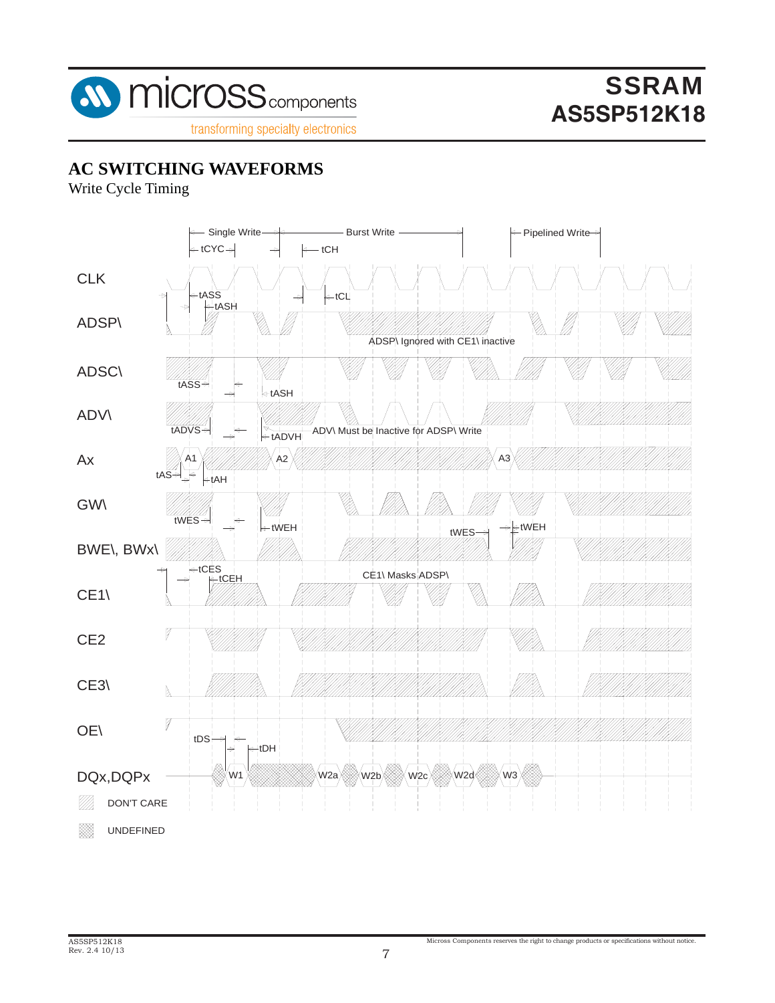

## **AC SWITCHING WAVEFORMS**

Write Cycle Timing

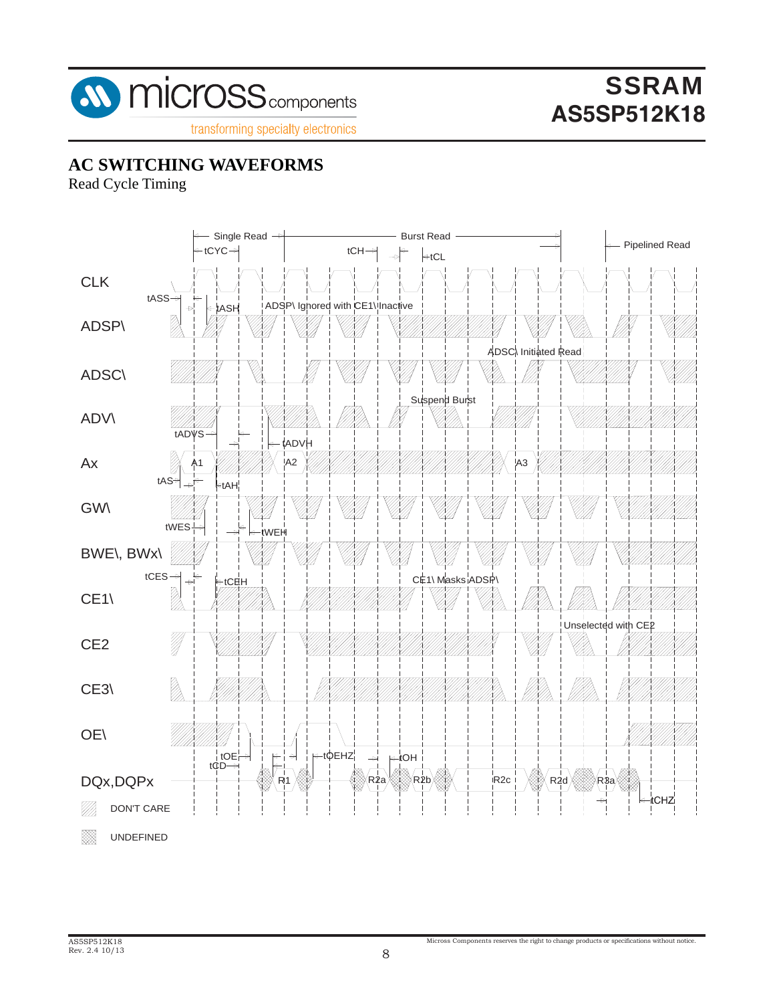

#### **AC SWITCHING WAVEFORMS**

Read Cycle Timing

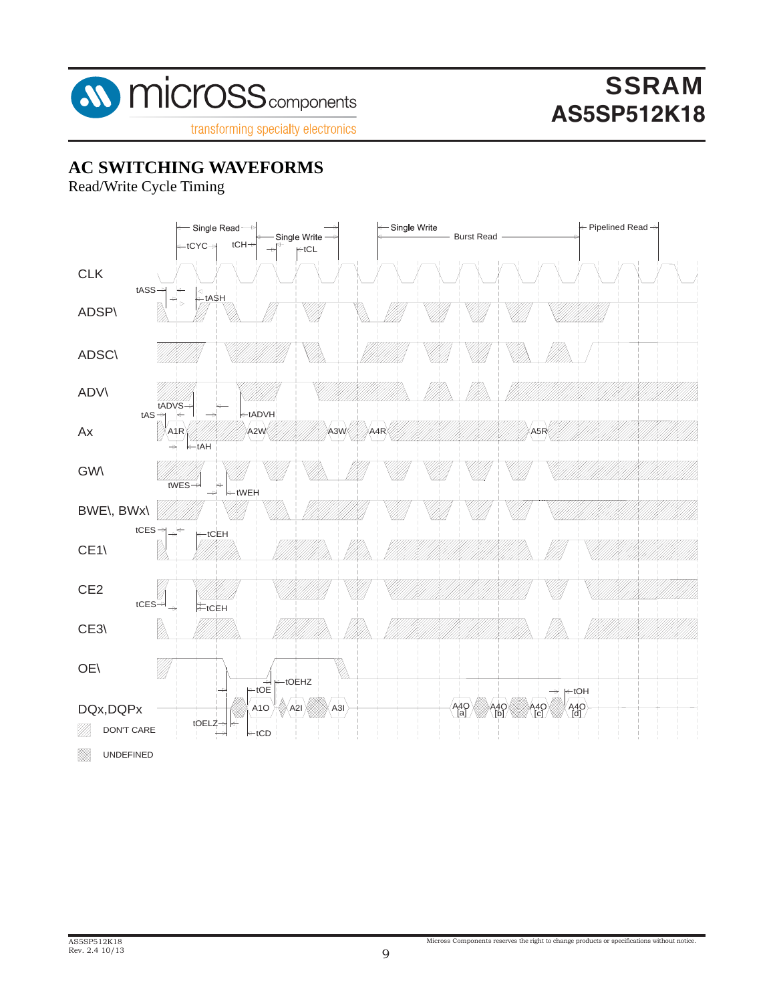

#### **AC SWITCHING WAVEFORMS**

Read/Write Cycle Timing

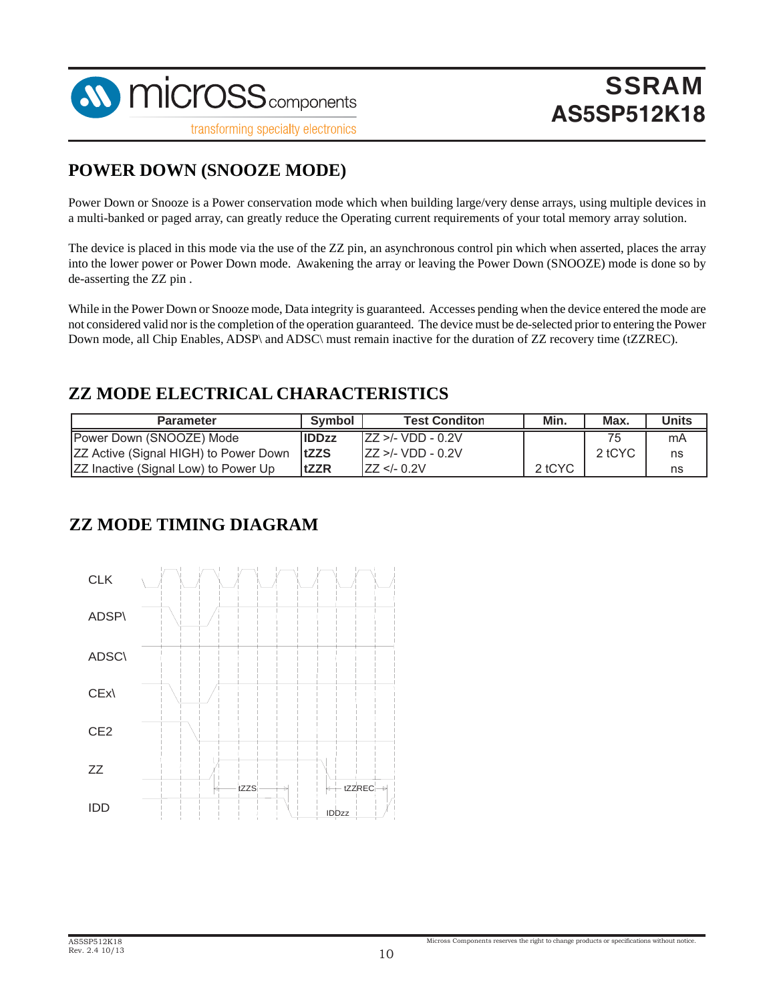

#### **POWER DOWN (SNOOZE MODE)**

Power Down or Snooze is a Power conservation mode which when building large/very dense arrays, using multiple devices in a multi-banked or paged array, can greatly reduce the Operating current requirements of your total memory array solution.

The device is placed in this mode via the use of the ZZ pin, an asynchronous control pin which when asserted, places the array into the lower power or Power Down mode. Awakening the array or leaving the Power Down (SNOOZE) mode is done so by de-asserting the ZZ pin .

While in the Power Down or Snooze mode, Data integrity is guaranteed. Accesses pending when the device entered the mode are not considered valid nor is the completion of the operation guaranteed. The device must be de-selected prior to entering the Power Down mode, all Chip Enables, ADSP\ and ADSC\ must remain inactive for the duration of ZZ recovery time (tZZREC).

#### **ZZ MODE ELECTRICAL CHARACTERISTICS**

| <b>Parameter</b>                             | Symbol       | <b>Test Conditon</b>                                 | Min.   | Max.   | Units |
|----------------------------------------------|--------------|------------------------------------------------------|--------|--------|-------|
| Power Down (SNOOZE) Mode                     | <b>IDDzz</b> | $\text{IZZ} > $ /- VDD - 0.2V                        |        | 75     | mA    |
| <b>ZZ Active (Signal HIGH) to Power Down</b> | <b>ItZZS</b> | $IZZ > - VDD - 0.2V$                                 |        | 2 tCYC | ns    |
| <b>IZZ Inactive (Signal Low) to Power Up</b> | <b>tZZR</b>  | IZZ - 0.2V</td <td>2 tCYC</td> <td></td> <td>ns</td> | 2 tCYC |        | ns    |

#### **ZZ MODE TIMING DIAGRAM**

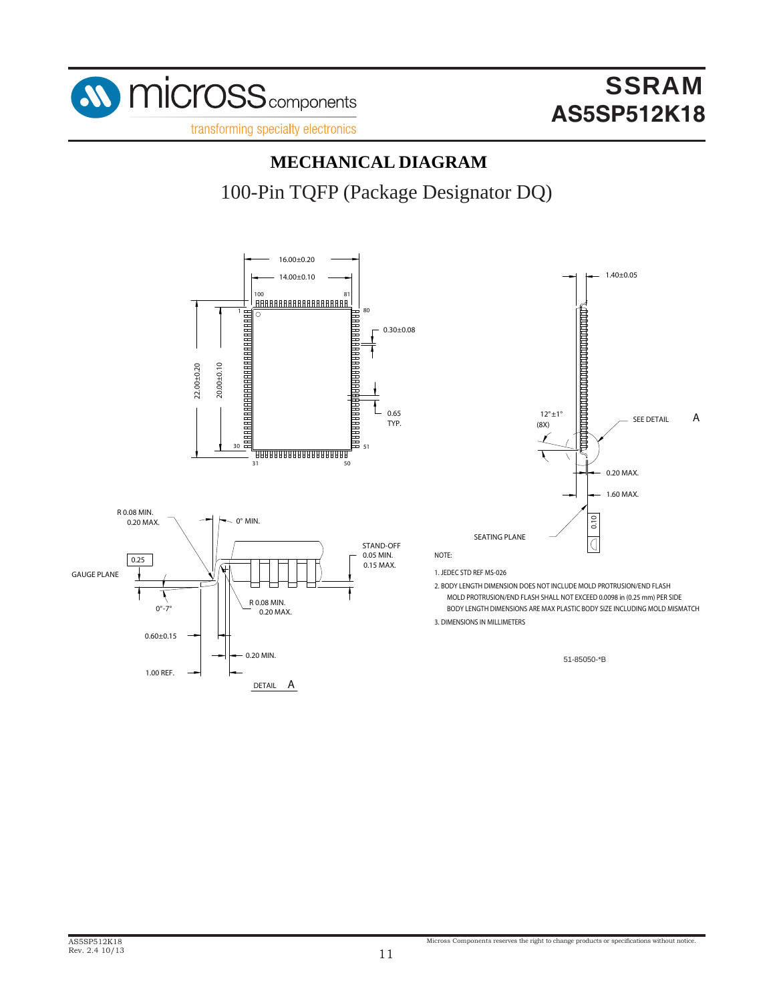

## **MECHANICAL DIAGRAM**

100-Pin TQFP (Package Designator DQ)

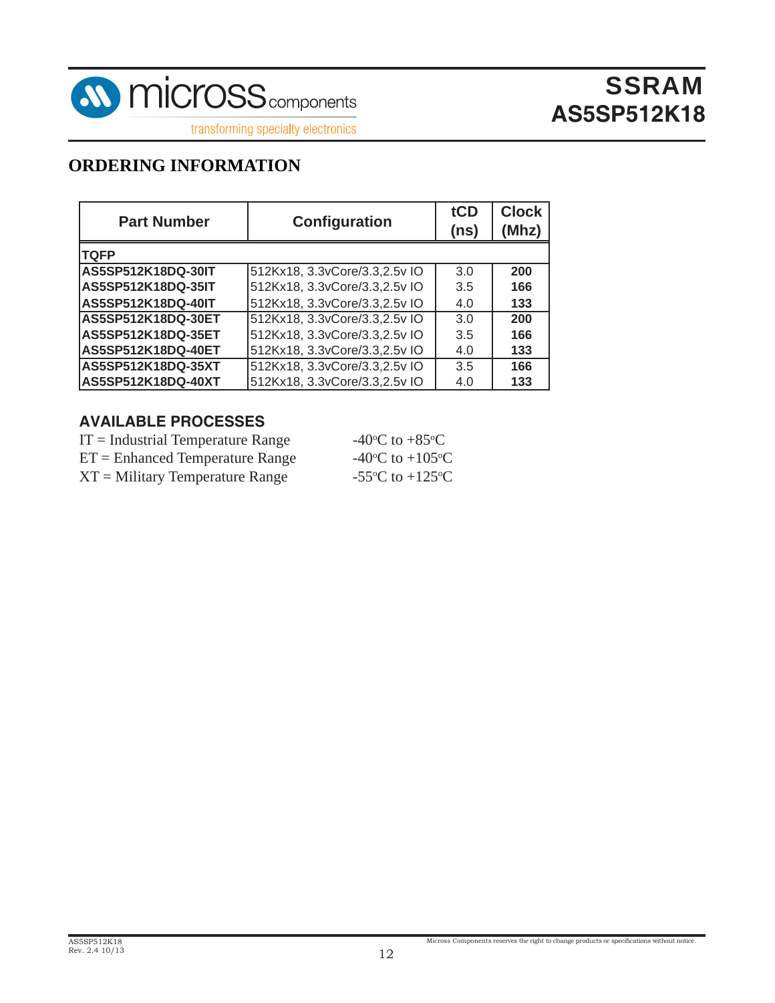

transforming specialty electronics

### **ORDERING INFORMATION**

| <b>Part Number</b> | <b>Configuration</b>           | tCD<br>(ns) | <b>Clock</b><br>(Mhz) |
|--------------------|--------------------------------|-------------|-----------------------|
| <b>TQFP</b>        |                                |             |                       |
| AS5SP512K18DQ-30IT | 512Kx18, 3.3vCore/3.3,2.5v IO  | 3.0         | 200                   |
| AS5SP512K18DQ-35IT | 512Kx18, 3.3vCore/3.3, 2.5v IO | 3.5         | 166                   |
| AS5SP512K18DQ-40IT | 512Kx18, 3.3vCore/3.3,2.5v IO  | 4.0         | 133                   |
| AS5SP512K18DQ-30ET | 512Kx18, 3.3vCore/3.3,2.5v IO  | 3.0         | 200                   |
| AS5SP512K18DQ-35ET | 512Kx18, 3.3vCore/3.3,2.5v IO  | 3.5         | 166                   |
| AS5SP512K18DQ-40ET | 512Kx18, 3.3vCore/3.3, 2.5v IO | 4.0         | 133                   |
| AS5SP512K18DQ-35XT | 512Kx18, 3.3vCore/3.3,2.5v IO  | 3.5         | 166                   |
| AS5SP512K18DQ-40XT | 512Kx18, 3.3vCore/3.3, 2.5v IO | 4.0         | 133                   |

#### **AVAILABLE PROCESSES**

| $IT = Industrial Temperature Range$ | -40 $\rm{^{\circ}C}$ to +85 $\rm{^{\circ}C}$  |
|-------------------------------------|-----------------------------------------------|
| $ET =$ Enhanced Temperature Range   | -40 $\rm{^{\circ}C}$ to +105 $\rm{^{\circ}C}$ |
| $XT = Military Temperature Range$   | -55 $\rm{^{\circ}C}$ to +125 $\rm{^{\circ}C}$ |